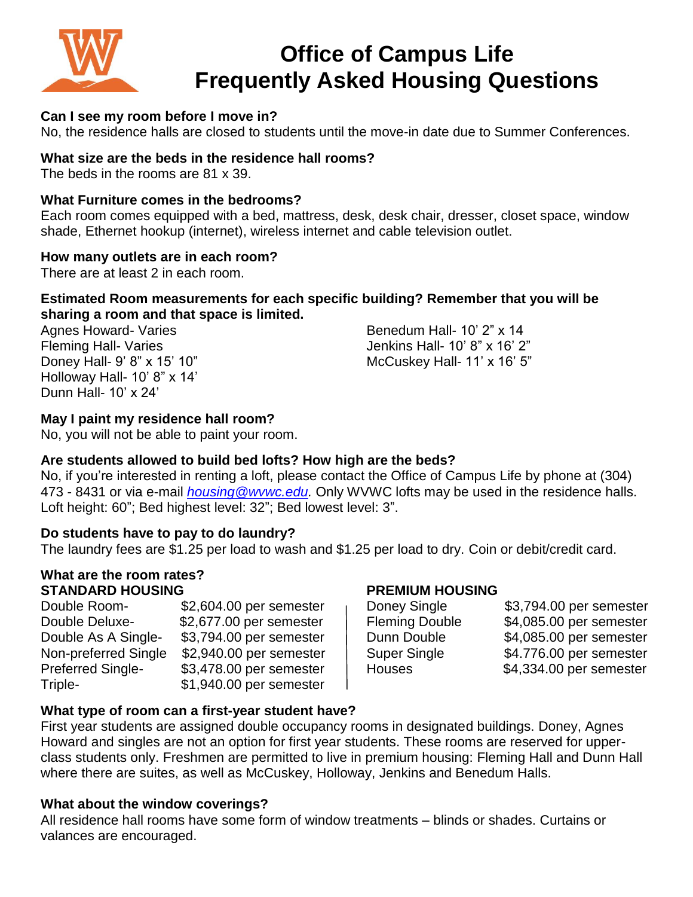

# **Office of Campus Life Frequently Asked Housing Questions**

#### **Can I see my room before I move in?**

No, the residence halls are closed to students until the move-in date due to Summer Conferences.

#### **What size are the beds in the residence hall rooms?**

The beds in the rooms are 81 x 39.

#### **What Furniture comes in the bedrooms?**

Each room comes equipped with a bed, mattress, desk, desk chair, dresser, closet space, window shade, Ethernet hookup (internet), wireless internet and cable television outlet.

#### **How many outlets are in each room?**

There are at least 2 in each room.

#### **Estimated Room measurements for each specific building? Remember that you will be sharing a room and that space is limited.**

Holloway Hall- 10' 8" x 14' Dunn Hall- 10' x 24'

Agnes Howard- Varies **Benedum Hall- 10' 2"** x 14 Fleming Hall- Varies The Society of the Senator Senator Senator Senator 3 and 10' 8" x 16' 2" Doney Hall- 9' 8" x 15' 10" McCuskey Hall- 11' x 16' 5"

### **May I paint my residence hall room?**

No, you will not be able to paint your room.

#### **Are students allowed to build bed lofts? How high are the beds?**

No, if you're interested in renting a loft, please contact the Office of Campus Life by phone at (304) 473 - 8431 or via e-mail *[housing@wvwc.edu.](mailto:housing@wvwc.edu)* Only WVWC lofts may be used in the residence halls. Loft height: 60"; Bed highest level: 32"; Bed lowest level: 3".

#### **Do students have to pay to do laundry?**

The laundry fees are \$1.25 per load to wash and \$1.25 per load to dry. Coin or debit/credit card.

#### **What are the room rates? STANDARD HOUSING PREMIUM HOUSING**

| Double Room-             | \$2,604.00 per semester |
|--------------------------|-------------------------|
| Double Deluxe-           | \$2,677.00 per semester |
| Double As A Single-      | \$3,794.00 per semester |
| Non-preferred Single     | \$2,940.00 per semester |
| <b>Preferred Single-</b> | \$3,478.00 per semester |
| Triple-                  | \$1,940.00 per semester |

| Doney Single          | \$3,794.00 per semester |
|-----------------------|-------------------------|
| <b>Fleming Double</b> | \$4,085.00 per semester |
| Dunn Double           | \$4,085.00 per semester |
| Super Single          | \$4.776.00 per semester |
| <b>Houses</b>         | \$4,334.00 per semester |
|                       |                         |

#### **What type of room can a first-year student have?**

First year students are assigned double occupancy rooms in designated buildings. Doney, Agnes Howard and singles are not an option for first year students. These rooms are reserved for upperclass students only. Freshmen are permitted to live in premium housing: Fleming Hall and Dunn Hall where there are suites, as well as McCuskey, Holloway, Jenkins and Benedum Halls.

#### **What about the window coverings?**

All residence hall rooms have some form of window treatments – blinds or shades. Curtains or valances are encouraged.